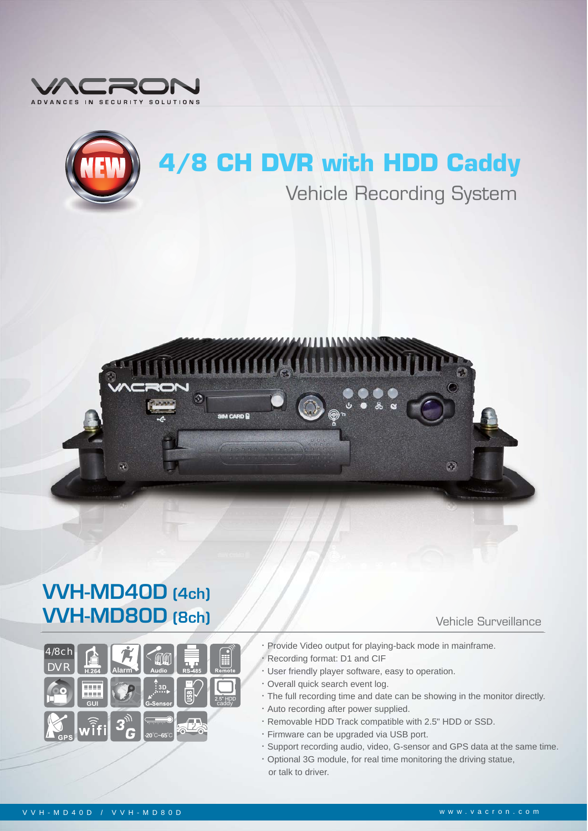



## **4/8 CH DVR with HDD Caddy**

# Vehicle Recording System



### VVH-MD40D (4ch) **VVH-MD40D (4ch)<br>VVH-MD80D (8ch)** Vehicle Surveillance

| 4/8ch<br>$\overline{D}\overline{V}R$ | H.264 | Alarm  | <b>Audio</b>                                        | <b>RS-485</b>     | Ħ<br>Remote       |
|--------------------------------------|-------|--------|-----------------------------------------------------|-------------------|-------------------|
|                                      | GUI   |        | : 3D<br>G-Sensor                                    | S                 | 2.5" HDD<br>caddy |
| <b>GPS</b>                           | With  | 3<br>G | <b>DURUMBERG</b><br>$-20^{\circ}$ C $-65^{\circ}$ C | Ξï<br>÷<br>a<br>Ξ |                   |
|                                      |       |        |                                                     |                   |                   |

#### Vehicle Surveillance

- **‧**Provide Video output for playing-back mode in mainframe.
- Recording format: D1 and CIF
- **‧**User friendly player software, easy to operation.
- **‧**Overall quick search event log.
- **‧**The full recording time and date can be showing in the monitor directly.
- **‧**Auto recording after power supplied.
- **‧**Removable HDD Track compatible with 2.5" HDD or SSD.
- **‧**Firmware can be upgraded via USB port.
- **‧**Support recording audio, video, G-sensor and GPS data at the same time.
- **‧**Optional 3G module, for real time monitoring the driving statue, or talk to driver.